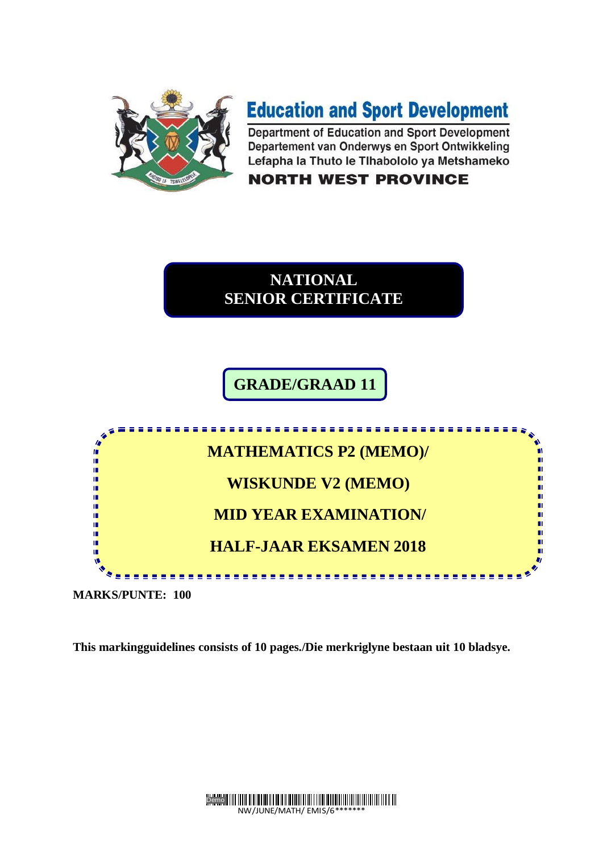

# **Education and Sport Development**

Department of Education and Sport Development Departement van Onderwys en Sport Ontwikkeling Lefapha la Thuto le Tlhabololo ya Metshameko

#### **NORTH WEST PROVINCE**



**GRADE/GRAAD 11**



**MARKS/PUNTE: 100**

**This markingguidelines consists of 10 pages./Die merkriglyne bestaan uit 10 bladsye.**

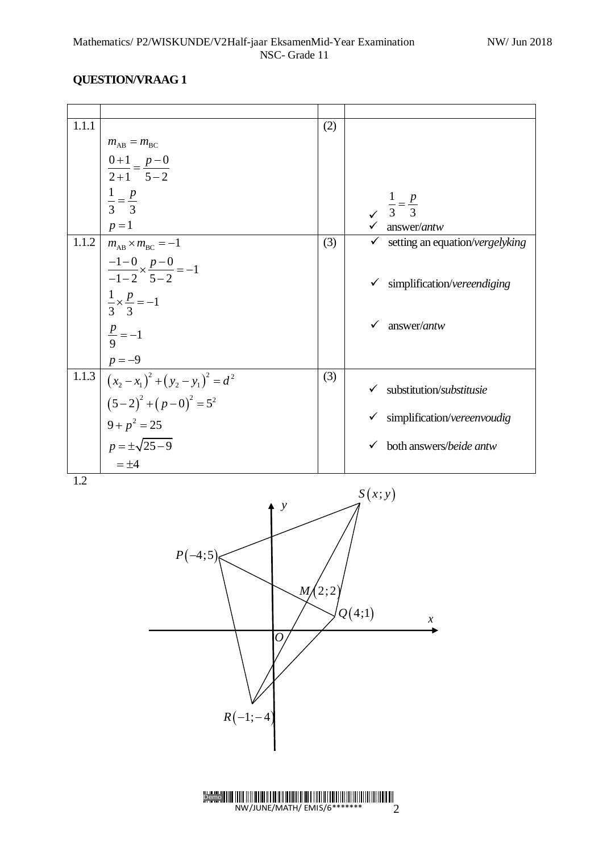| 1.1.1 |                                                 | (2)    |                                                                |
|-------|-------------------------------------------------|--------|----------------------------------------------------------------|
|       | $m_{AB} = m_{BC}$                               |        |                                                                |
|       | $\frac{0+1}{2+1} = \frac{p-0}{5-2}$             |        |                                                                |
|       |                                                 |        |                                                                |
|       | $\frac{1}{3} = \frac{p}{3}$                     |        |                                                                |
|       |                                                 |        | $\begin{array}{cc}\n & \frac{1}{3} = \frac{p}{3}\n\end{array}$ |
|       | $p=1$                                           |        | $\checkmark$ answer/antw                                       |
| 1.1.2 | $m_{AB} \times m_{BC} = -1$                     | (3)    | $\checkmark$ setting an equation/vergelyking                   |
|       | $\frac{-1-0}{-1-2} \times \frac{p-0}{5-2} = -1$ |        |                                                                |
|       |                                                 |        | simplification/vereendiging<br>$\checkmark$                    |
|       | $\frac{1}{3} \times \frac{p}{3} = -1$           |        |                                                                |
|       |                                                 |        |                                                                |
|       | $\frac{p}{9} = -1$                              |        | answer/antw<br>$\checkmark$                                    |
|       |                                                 |        |                                                                |
| 1.1.3 | $\frac{p=-9}{(x_2-x_1)^2+(y_2-y_1)^2=d^2}$      | (3)    |                                                                |
|       |                                                 |        | substitution/substitusie<br>$\checkmark$                       |
|       | $(5-2)^{2}+(p-0)^{2}=5^{2}$                     |        |                                                                |
|       | $9 + p^2 = 25$                                  |        | $\checkmark$ simplification/vereenvoudig                       |
|       | $p = \pm \sqrt{25 - 9}$                         |        | $\checkmark$ both answers/beide antw                           |
|       | $=\pm 4$                                        |        |                                                                |
| 1.2   |                                                 |        |                                                                |
|       |                                                 |        | S(x; y)                                                        |
|       | $\mathcal{Y}$                                   |        |                                                                |
|       |                                                 |        |                                                                |
|       |                                                 |        |                                                                |
|       | $P(-4;5)$                                       |        |                                                                |
|       |                                                 |        |                                                                |
|       |                                                 | M(2,2) |                                                                |
|       |                                                 |        | Q(4;1)                                                         |
|       |                                                 |        | $\chi$                                                         |
|       | 0                                               |        |                                                                |
|       |                                                 |        |                                                                |
|       |                                                 |        |                                                                |
|       |                                                 |        |                                                                |
|       | $R(-1;-4)$                                      |        |                                                                |
|       |                                                 |        |                                                                |
|       |                                                 |        |                                                                |
|       |                                                 |        |                                                                |
|       |                                                 |        |                                                                |

 $NW/JUNE/MATH/ E MIS/6******$  2

Demo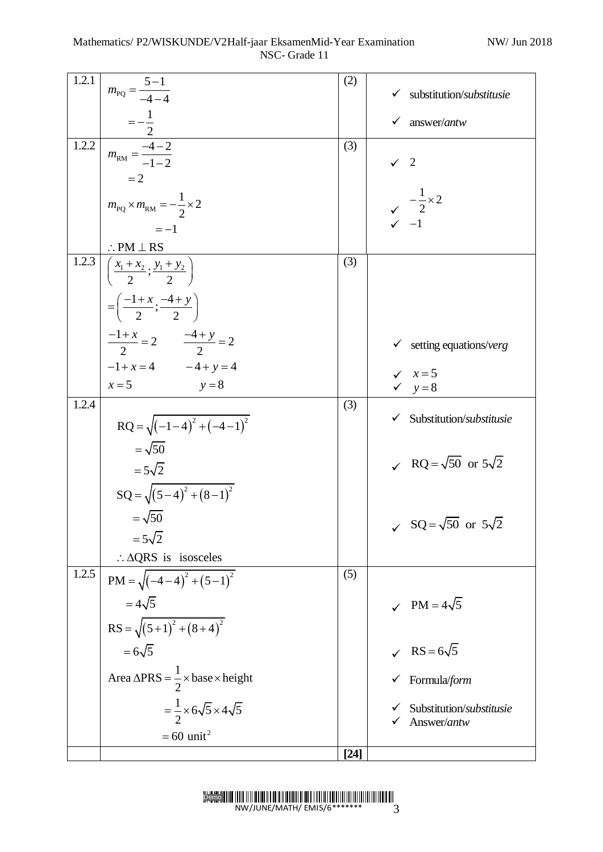| 1.2.1 | $m_{\rm PQ} = \frac{5-1}{-4-4}$                                                        | (2)    | substitution/substitusie<br>✓                                                 |
|-------|----------------------------------------------------------------------------------------|--------|-------------------------------------------------------------------------------|
|       |                                                                                        |        | answer/antw<br>✓                                                              |
| 1.2.2 | $=\frac{-\frac{1}{2}}{2}$<br>$m_{\text{RM}} = \frac{-4-2}{-1-2}$                       | (3)    |                                                                               |
|       | $=2$                                                                                   |        | $\checkmark$ 2                                                                |
|       | $m_{\text{PQ}} \times m_{\text{RM}} = -\frac{1}{2} \times 2$                           |        |                                                                               |
|       | $=-1$                                                                                  |        | $\begin{array}{ccc}\n& -\frac{1}{2} \times 2 \\ \checkmark & -1\n\end{array}$ |
|       |                                                                                        |        |                                                                               |
| 1.2.3 | $\frac{\therefore PM \perp RS}{\left(\frac{x_1 + x_2}{2}; \frac{y_1 + y_2}{2}\right)}$ | (3)    |                                                                               |
|       | $=\left(\frac{-1+x}{2};\frac{-4+y}{2}\right)$                                          |        |                                                                               |
|       |                                                                                        |        |                                                                               |
|       | $\frac{-1+x}{2} = 2$ $\frac{-4+y}{2} = 2$                                              |        | $\checkmark$ setting equations/verg                                           |
|       | $-1 + x = 4$ $-4 + y = 4$                                                              |        | $\sqrt{x} = 5$                                                                |
| 1.2.4 | $x = 5$<br>$y=8$                                                                       | (3)    | $y = 8$                                                                       |
|       | $RQ = \sqrt{(-1-4)^2 + (-4-1)^2}$                                                      |        | $\checkmark$ Substitution/substitusie                                         |
|       | $=\sqrt{50}$                                                                           |        |                                                                               |
|       | $=5\sqrt{2}$                                                                           |        | $\sqrt{RQ} = \sqrt{50}$ or $5\sqrt{2}$                                        |
|       | $SQ = \sqrt{(5-4)^2 + (8-1)^2}$                                                        |        |                                                                               |
|       | $=\sqrt{50}$                                                                           |        | $\sqrt{SQ} = \sqrt{50}$ or $5\sqrt{2}$                                        |
|       | $=5\sqrt{2}$                                                                           |        |                                                                               |
|       | $\therefore \triangle QRS$ is isosceles                                                |        |                                                                               |
| 1.2.5 | $PM = \sqrt{(-4-4)^2 + (5-1)^2}$                                                       | (5)    |                                                                               |
|       | $=4\sqrt{5}$                                                                           |        | $\sqrt{PM} = 4\sqrt{5}$                                                       |
|       | $RS = \sqrt{(5+1)^2 + (8+4)^2}$                                                        |        |                                                                               |
|       | $=6\sqrt{5}$                                                                           |        | $\chi$ RS = 6 $\sqrt{5}$                                                      |
|       | Area $\triangle PRS = \frac{1}{2} \times \text{base} \times \text{height}$             |        | Formula/form                                                                  |
|       | $=\frac{1}{2}\times 6\sqrt{5}\times 4\sqrt{5}$                                         |        | Substitution/substitusie                                                      |
|       | $= 60$ unit <sup>2</sup>                                                               |        | Answer/antw                                                                   |
|       |                                                                                        | $[24]$ |                                                                               |

Demo  $NW/JUNE/MATH/EMIS/6******$  3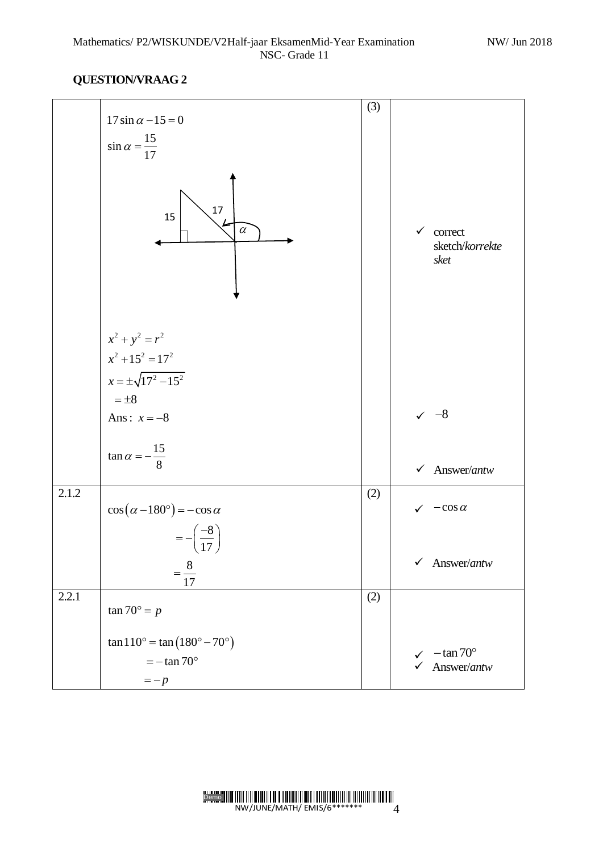|       | $17 \sin \alpha - 15 = 0$                                                            | (3) |                                                                 |
|-------|--------------------------------------------------------------------------------------|-----|-----------------------------------------------------------------|
|       | $\sin \alpha = \frac{15}{17}$                                                        |     |                                                                 |
|       | 17<br>15<br>$\alpha$                                                                 |     | correct<br>✓<br>sketch/korrekte<br>sket                         |
|       | $x^2 + y^2 = r^2$<br>$x^2 + 15^2 = 17^2$                                             |     |                                                                 |
|       | $x = \pm \sqrt{17^2 - 15^2}$                                                         |     |                                                                 |
|       | $=\pm 8$                                                                             |     |                                                                 |
|       | Ans: $x = -8$                                                                        |     | $-8$                                                            |
|       | $\tan \alpha = -\frac{15}{8}$                                                        |     | Answer/antw<br>$\checkmark$                                     |
| 2.1.2 | $\cos(\alpha - 180^\circ) = -\cos\alpha$                                             | (2) | $-\cos \alpha$                                                  |
|       | $\frac{-8}{-}$<br>$=\frac{8}{1}$<br>17                                               |     | Answer/antw<br>$\checkmark$                                     |
| 2.2.1 | $\tan 70^\circ = p$                                                                  | (2) |                                                                 |
|       | $\tan 110^{\circ} = \tan (180^{\circ} - 70^{\circ})$<br>$=-\tan 70^{\circ}$<br>$=-p$ |     | $-\tan 70^\circ$<br>$\checkmark$<br>Answer/antw<br>$\checkmark$ |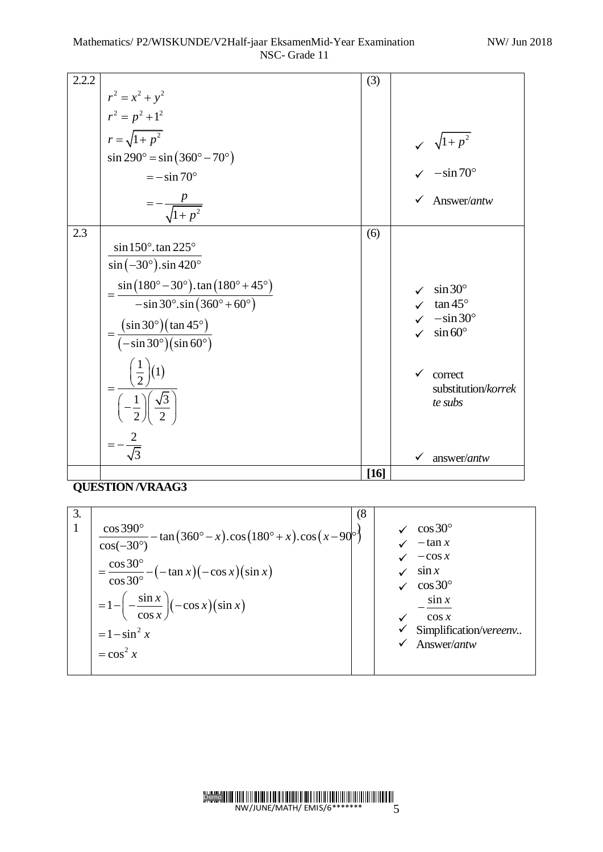| 2.2.2 |                                                                                                                        | (3)  |              |                                                              |
|-------|------------------------------------------------------------------------------------------------------------------------|------|--------------|--------------------------------------------------------------|
|       | $r^2 = x^2 + y^2$                                                                                                      |      |              |                                                              |
|       | $r^2 = p^2 + 1^2$                                                                                                      |      |              |                                                              |
|       | $r = \sqrt{1 + p^2}$                                                                                                   |      |              |                                                              |
|       | $\sin 290^\circ = \sin (360^\circ - 70^\circ)$                                                                         |      |              |                                                              |
|       | $=-\sin 70^{\circ}$                                                                                                    |      |              | $\sqrt{1+p^2}$<br>$\sqrt{1+ p^2}$<br>$\sqrt{-\sin 70^\circ}$ |
|       | $=-\frac{p}{\sqrt{1+p^2}}$                                                                                             |      | ✓            | Answer/antw                                                  |
| 2.3   |                                                                                                                        | (6)  |              |                                                              |
|       | $\sin 150^\circ$ . tan 225°                                                                                            |      |              |                                                              |
|       | $\sin(-30^\circ)$ .sin 420°                                                                                            |      |              |                                                              |
|       | $=\frac{\sin(180^\circ - 30^\circ) \cdot \tan(180^\circ + 45^\circ)}{-\sin 30^\circ \cdot \sin(360^\circ + 60^\circ)}$ |      |              | $\sin 30^\circ$                                              |
|       |                                                                                                                        |      |              | $\tan 45^\circ$                                              |
|       |                                                                                                                        |      |              | $-\sin 30^\circ$                                             |
|       | $=\frac{(\sin 30^\circ)(\tan 45^\circ)}{(-\sin 30^\circ)(\sin 60^\circ)}$                                              |      |              | $\sin 60^\circ$                                              |
|       |                                                                                                                        |      | $\checkmark$ | correct<br>substitution/korrek                               |
|       | $=\frac{\left(\frac{1}{2}\right)(1)}{\left(-\frac{1}{2}\right)\left(\frac{\sqrt{3}}{2}\right)}$                        |      |              | te subs                                                      |
|       |                                                                                                                        |      |              |                                                              |
|       |                                                                                                                        |      |              | answer/antw                                                  |
|       |                                                                                                                        | [16] |              |                                                              |

| 3.<br>1 | $\cos 390^\circ$<br>$\frac{1}{2}$ - tan $(360^\circ - x)$ .cos $(180^\circ + x)$ .cos $(x - 90^\circ)$<br>$\cos(-30^\circ)$<br>$=\frac{\cos 30^{\circ}}{\cos 30^{\circ}} - (-\tan x)(-\cos x)(\sin x)$<br>$=1 - \left(-\frac{\sin x}{\cos x}\right)(-\cos x)(\sin x)$<br>$=1-\sin^2 x$<br>$=\cos^2 x$ | (8)<br>$\cos 30^\circ$<br>$-\tan x$<br>$-\cos x$<br>$\sin x$<br>$\cos 30^\circ$<br>$\sin x$<br>$\cos x$<br>Simplification/vereenv<br>Answer/antw |
|---------|-------------------------------------------------------------------------------------------------------------------------------------------------------------------------------------------------------------------------------------------------------------------------------------------------------|--------------------------------------------------------------------------------------------------------------------------------------------------|
|         |                                                                                                                                                                                                                                                                                                       |                                                                                                                                                  |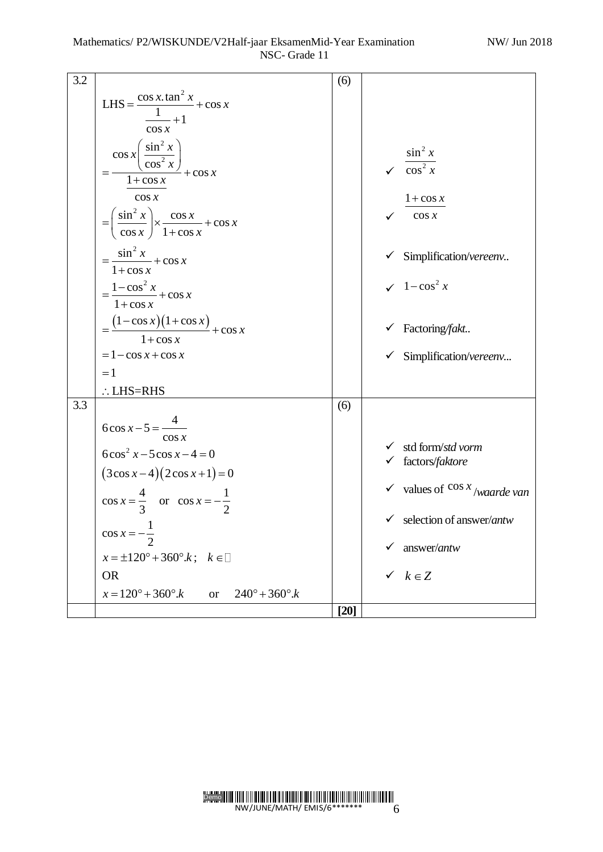| 3.2 |                                                                                 | (6)    |                                               |
|-----|---------------------------------------------------------------------------------|--------|-----------------------------------------------|
|     | LHS = $\frac{\cos x \cdot \tan^2 x}{1} + \cos x$                                |        |                                               |
|     |                                                                                 |        |                                               |
|     | $-+1$<br>$\cos x$                                                               |        |                                               |
|     |                                                                                 |        |                                               |
|     |                                                                                 |        | $\sin^2 x$                                    |
|     |                                                                                 |        | $\sqrt{\cos^2 x}$                             |
|     | $\frac{\cos x \left( \frac{\sin^2 x}{\cos^2 x} \right)}{1 + \cos x} + \cos x$   |        |                                               |
|     | $\cos x$                                                                        |        | $1 + \cos x$                                  |
|     |                                                                                 |        | $\cos x$                                      |
|     | $=\left(\frac{\sin^2 x}{\cos x}\right) \times \frac{\cos x}{1+\cos x} + \cos x$ |        |                                               |
|     |                                                                                 |        |                                               |
|     | $=\frac{\sin^2 x}{1+\cos x}+\cos x$                                             |        | Simplification/vereenv                        |
|     |                                                                                 |        | $\sqrt{1-\cos^2 x}$                           |
|     | $=\frac{1-\cos^2 x}{1+\cos x}+\cos x$                                           |        |                                               |
|     |                                                                                 |        |                                               |
|     | $=\frac{(1-\cos x)(1+\cos x)}{1+\cos x}+\cos x$                                 |        | $\checkmark$ Factoring/fakt                   |
|     | $= 1 - \cos x + \cos x$                                                         |        | $\checkmark$ Simplification/vereenv           |
|     | $=1$                                                                            |        |                                               |
|     | $\therefore$ LHS=RHS                                                            |        |                                               |
| 3.3 |                                                                                 | (6)    |                                               |
|     |                                                                                 |        |                                               |
|     | $6\cos x - 5 = \frac{4}{-6}$                                                    |        |                                               |
|     | $\cos x$                                                                        |        | $\checkmark$ std form/std vorm                |
|     | $6\cos^2 x - 5\cos x - 4 = 0$                                                   |        | $\checkmark$ factors/faktore                  |
|     | $(3\cos x-4)(2\cos x+1)=0$                                                      |        |                                               |
|     |                                                                                 |        | $\checkmark$ values of $\cos x$ /waarde van   |
|     | $\cos x = \frac{4}{3}$ or $\cos x = -\frac{1}{2}$                               |        |                                               |
|     | $\overline{\phantom{0}}$                                                        |        | $\checkmark$ selection of answer/ <i>antw</i> |
|     | $\cos x = -\frac{1}{2}$                                                         |        |                                               |
|     | $x = \pm 120^{\circ} + 360^{\circ}.k$ ; $k \in \square$                         |        | answer/antw                                   |
|     | <b>OR</b>                                                                       |        | $k \in Z$                                     |
|     | $x = 120^{\circ} + 360^{\circ}.k$<br>$240^{\circ} + 360^{\circ}.k$<br><b>or</b> |        |                                               |
|     |                                                                                 | $[20]$ |                                               |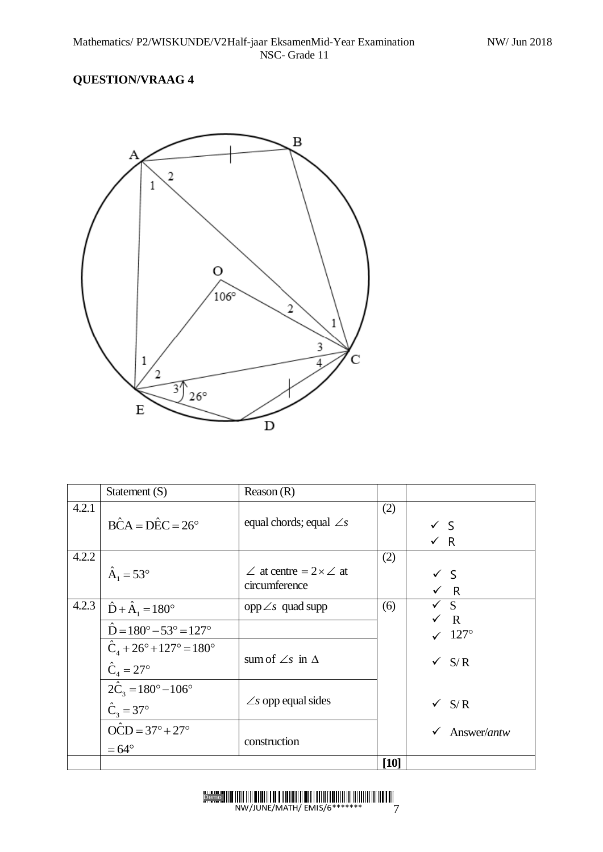

|       | Statement (S)                                                          | Reason $(R)$                                              |      |                                  |
|-------|------------------------------------------------------------------------|-----------------------------------------------------------|------|----------------------------------|
| 4.2.1 | $\angle B\hat{C}A = \angle D\hat{E}C = 26^{\circ}$                     | equal chords; equal $\angle s$                            | (2)  | $\checkmark$ S<br>$\times R$     |
| 4.2.2 | $\hat{A}_1 = 53^{\circ}$                                               | $\angle$ at centre = 2 $\times\angle$ at<br>circumference | (2)  | $\checkmark$ S<br>$\checkmark$ R |
| 4.2.3 | $\hat{D} + \hat{A}_1 = 180^\circ$                                      | $opp\angle s$ quad supp                                   | (6)  | $\checkmark$ S                   |
|       | $D = 180^{\circ} - 53^{\circ} = 127^{\circ}$                           |                                                           |      | $\sqrt{R}$<br>$\sqrt{127^\circ}$ |
|       | $\hat{C}_4 + 26^\circ + 127^\circ = 180^\circ$<br>$C_{4} = 27^{\circ}$ | sum of $\angle s$ in $\triangle$                          |      | $\checkmark$ S/R                 |
|       | $2\hat{C}_3 = 180^\circ - 106^\circ$<br>$\hat{C}_3 = 37^\circ$         | $\angle$ s opp equal sides                                |      | $\sqrt{S/R}$                     |
|       | $OCD = 37^{\circ} + 27^{\circ}$<br>$=64^{\circ}$                       | construction                                              |      | Answer/antw                      |
|       |                                                                        |                                                           | [10] |                                  |

Demo NW/JUNE/MATH/ EMIS/6\*\*\*\*\*\*\* 7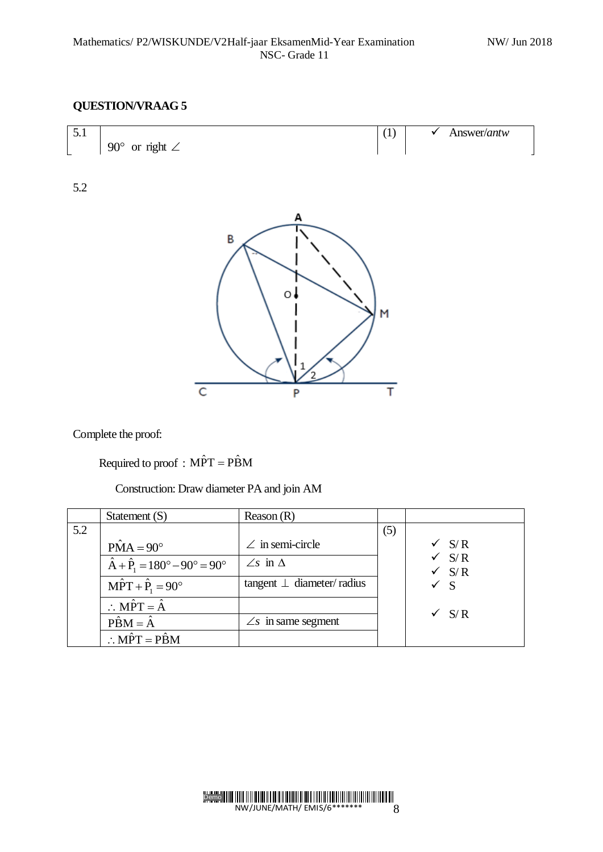

5.2



Complete the proof:

Required to proof :  $M\hat{P}T = P\hat{B}M$ 

Construction: Draw diameter PA and join AM

|     | Statement $(S)$                                         | Reason $(R)$                    |     |                         |
|-----|---------------------------------------------------------|---------------------------------|-----|-------------------------|
| 5.2 |                                                         |                                 | (5) |                         |
|     | $\hat{PMA} = 90^{\circ}$                                | $\angle$ in semi-circle         |     | $\sqrt{S/R}$            |
|     | $\hat{A} + \hat{P}_1 = 180^\circ - 90^\circ = 90^\circ$ | $\angle$ s in $\Delta$          |     | S/R<br>$\checkmark$ S/R |
|     | $M\hat{P}T + \hat{P}_1 = 90^\circ$                      | tangent $\perp$ diameter/radius |     | $\checkmark$ S          |
|     | $\therefore$ MPT = $\hat{A}$                            |                                 |     | $\sqrt{S/R}$            |
|     | $\hat{PBM} = \hat{A}$                                   | $\angle s$ in same segment      |     |                         |
|     | $\therefore M\hat{P}T = P\hat{B}M$                      |                                 |     |                         |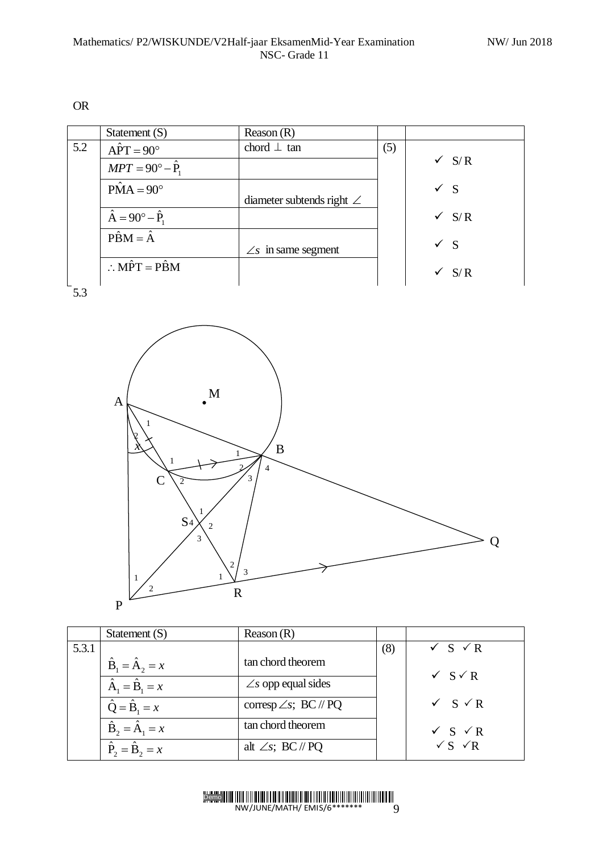OR

|     | Statement $(S)$                    | Reason $(R)$                     |     |                  |
|-----|------------------------------------|----------------------------------|-----|------------------|
| 5.2 | $\hat{APT} = 90^\circ$             | chord $\perp$ tan                | (5) |                  |
|     | $MPT = 90^\circ - \hat{P}_1$       |                                  |     | $\checkmark$ S/R |
|     | $\hat{PMA} = 90^{\circ}$           | diameter subtends right $\angle$ |     | $\checkmark$ S   |
|     |                                    |                                  |     |                  |
|     | $\hat{A} = 90^\circ - \hat{P}_1$   |                                  |     | $\checkmark$ S/R |
|     | $\hat{PBM} = \hat{A}$              |                                  |     | $\checkmark$ S   |
|     |                                    | $\angle$ s in same segment       |     |                  |
|     | $\therefore M\hat{P}T = P\hat{B}M$ |                                  |     | S/R<br>✓         |

5.3



|       | Statement $(S)$                               | Reason $(R)$                  |     |                               |
|-------|-----------------------------------------------|-------------------------------|-----|-------------------------------|
| 5.3.1 |                                               |                               | (8) | $\checkmark$ S $\checkmark$ R |
|       | $\hat{\mathbf{B}}_1 = \hat{\mathbf{A}}_2 = x$ | tan chord theorem             |     | $\checkmark$ S $\checkmark$ R |
|       | $\hat{A}_1 = \hat{B}_1 = x$                   | $\angle$ s opp equal sides    |     |                               |
|       | $\hat{Q} = \hat{B}_1 = x$                     | corresp $\angle s$ ; BC // PQ |     | $\checkmark$ S $\checkmark$ R |
|       | $\hat{\mathbf{B}}_2 = \hat{\mathbf{A}}_1 = x$ | tan chord theorem             |     | $\checkmark$ S $\checkmark$ R |
|       | $\hat{\mathbf{P}}_2 = \hat{\mathbf{B}}_2 = x$ | alt $\angle s$ ; BC // PQ     |     | $\sqrt{S}$ $\sqrt{R}$         |